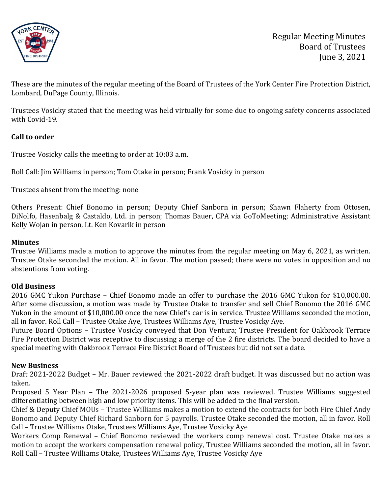

These are the minutes of the regular meeting of the Board of Trustees of the York Center Fire Protection District, Lombard, DuPage County, Illinois.

Trustees Vosicky stated that the meeting was held virtually for some due to ongoing safety concerns associated with Covid-19.

## **Call to order**

Trustee Vosicky calls the meeting to order at 10:03 a.m.

Roll Call: Jim Williams in person; Tom Otake in person; Frank Vosicky in person

Trustees absent from the meeting: none

Others Present: Chief Bonomo in person; Deputy Chief Sanborn in person; Shawn Flaherty from Ottosen, DiNolfo, Hasenbalg & Castaldo, Ltd. in person; Thomas Bauer, CPA via GoToMeeting; Administrative Assistant Kelly Wojan in person, Lt. Ken Kovarik in person

### **Minutes**

Trustee Williams made a motion to approve the minutes from the regular meeting on May 6, 2021, as written. Trustee Otake seconded the motion. All in favor. The motion passed; there were no votes in opposition and no abstentions from voting.

### **Old Business**

2016 GMC Yukon Purchase – Chief Bonomo made an offer to purchase the 2016 GMC Yukon for \$10,000.00. After some discussion, a motion was made by Trustee Otake to transfer and sell Chief Bonomo the 2016 GMC Yukon in the amount of \$10,000.00 once the new Chief's car is in service. Trustee Williams seconded the motion, all in favor. Roll Call – Trustee Otake Aye, Trustees Williams Aye, Trustee Vosicky Aye.

Future Board Options – Trustee Vosicky conveyed that Don Ventura; Trustee President for Oakbrook Terrace Fire Protection District was receptive to discussing a merge of the 2 fire districts. The board decided to have a special meeting with Oakbrook Terrace Fire District Board of Trustees but did not set a date.

### **New Business**

Draft 2021-2022 Budget – Mr. Bauer reviewed the 2021-2022 draft budget. It was discussed but no action was taken.

Proposed 5 Year Plan – The 2021-2026 proposed 5-year plan was reviewed. Trustee Williams suggested differentiating between high and low priority items. This will be added to the final version.

Chief & Deputy Chief MOUs – Trustee Williams makes a motion to extend the contracts for both Fire Chief Andy Bonomo and Deputy Chief Richard Sanborn for 5 payrolls. Trustee Otake seconded the motion, all in favor. Roll Call – Trustee Williams Otake, Trustees Williams Aye, Trustee Vosicky Aye

Workers Comp Renewal – Chief Bonomo reviewed the workers comp renewal cost. Trustee Otake makes a motion to accept the workers compensation renewal policy, Trustee Williams seconded the motion, all in favor. Roll Call – Trustee Williams Otake, Trustees Williams Aye, Trustee Vosicky Aye